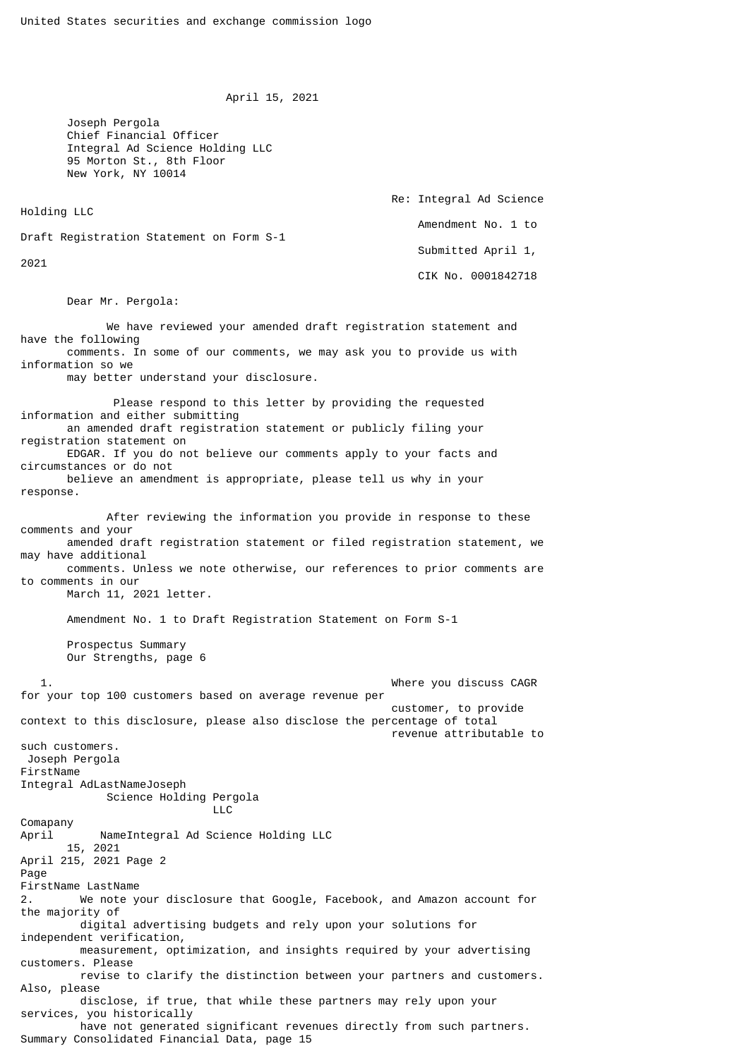April 15, 2021

 Joseph Pergola Chief Financial Officer Integral Ad Science Holding LLC 95 Morton St., 8th Floor New York, NY 10014

 Re: Integral Ad Science Holding LLC Amendment No. 1 to Draft Registration Statement on Form S-1 Submitted April 1, 2021 CIK No. 0001842718

Dear Mr. Pergola:

 We have reviewed your amended draft registration statement and have the following comments. In some of our comments, we may ask you to provide us with information so we may better understand your disclosure. Please respond to this letter by providing the requested information and either submitting an amended draft registration statement or publicly filing your registration statement on EDGAR. If you do not believe our comments apply to your facts and circumstances or do not believe an amendment is appropriate, please tell us why in your response. After reviewing the information you provide in response to these comments and your amended draft registration statement or filed registration statement, we may have additional comments. Unless we note otherwise, our references to prior comments are to comments in our March 11, 2021 letter. Amendment No. 1 to Draft Registration Statement on Form S-1 Prospectus Summary Our Strengths, page 6 1. Where you discuss CAGR for your top 100 customers based on average revenue per customer, to provide context to this disclosure, please also disclose the percentage of total revenue attributable to such customers. Joseph Pergola FirstName Integral AdLastNameJoseph Science Holding Pergola **LLC LLC** Comanany April NameIntegral Ad Science Holding LLC 15, 2021 April 215, 2021 Page 2 Page FirstName LastName 2. We note your disclosure that Google, Facebook, and Amazon account for the majority of digital advertising budgets and rely upon your solutions for independent verification, measurement, optimization, and insights required by your advertising customers. Please revise to clarify the distinction between your partners and customers. Also, please disclose, if true, that while these partners may rely upon your services, you historically have not generated significant revenues directly from such partners. Summary Consolidated Financial Data, page 15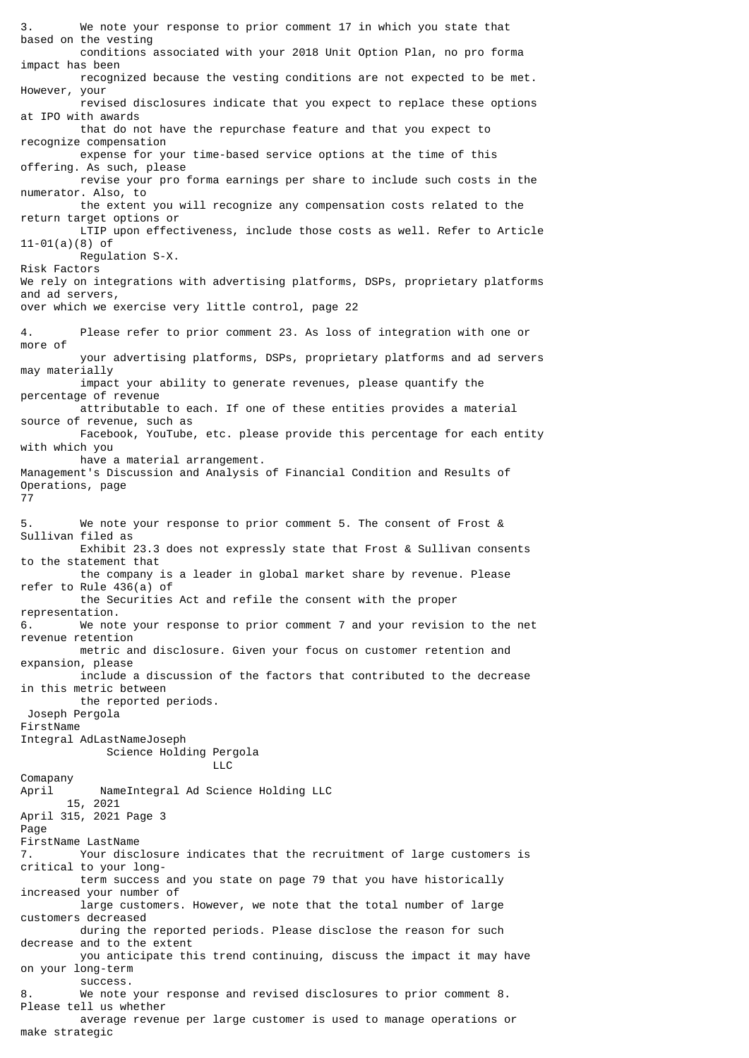3. We note your response to prior comment 17 in which you state that based on the vesting conditions associated with your 2018 Unit Option Plan, no pro forma impact has been recognized because the vesting conditions are not expected to be met. However, your revised disclosures indicate that you expect to replace these options at IPO with awards that do not have the repurchase feature and that you expect to recognize compensation expense for your time-based service options at the time of this offering. As such, please revise your pro forma earnings per share to include such costs in the numerator. Also, to the extent you will recognize any compensation costs related to the return target options or LTIP upon effectiveness, include those costs as well. Refer to Article 11-01(a)(8) of Regulation S-X. Risk Factors We rely on integrations with advertising platforms, DSPs, proprietary platforms and ad servers, over which we exercise very little control, page 22 4. Please refer to prior comment 23. As loss of integration with one or more of your advertising platforms, DSPs, proprietary platforms and ad servers may materially impact your ability to generate revenues, please quantify the percentage of revenue attributable to each. If one of these entities provides a material source of revenue, such as Facebook, YouTube, etc. please provide this percentage for each entity with which you have a material arrangement. Management's Discussion and Analysis of Financial Condition and Results of Operations, page 77 5. We note your response to prior comment 5. The consent of Frost & Sullivan filed as Exhibit 23.3 does not expressly state that Frost & Sullivan consents to the statement that the company is a leader in global market share by revenue. Please refer to Rule 436(a) of the Securities Act and refile the consent with the proper representation. 6. We note your response to prior comment 7 and your revision to the net revenue retention metric and disclosure. Given your focus on customer retention and expansion, please include a discussion of the factors that contributed to the decrease in this metric between the reported periods. Joseph Pergola FirstName Integral AdLastNameJoseph Science Holding Pergola **LLC LLC** Comapany<br>April NameIntegral Ad Science Holding LLC 15, 2021 April 315, 2021 Page 3 Page FirstName LastName 7. Your disclosure indicates that the recruitment of large customers is critical to your long term success and you state on page 79 that you have historically increased your number of large customers. However, we note that the total number of large customers decreased during the reported periods. Please disclose the reason for such decrease and to the extent you anticipate this trend continuing, discuss the impact it may have on your long-term success. 8. We note your response and revised disclosures to prior comment 8. Please tell us whether average revenue per large customer is used to manage operations or make strategic